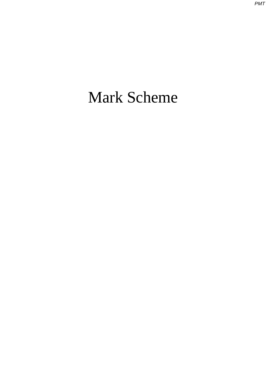# Mark Scheme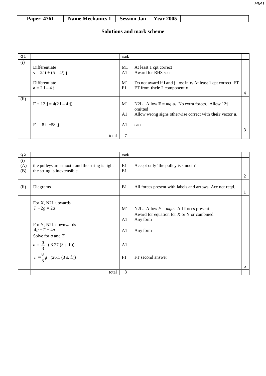|  |  |  | Name Mechanics 1   Session Jan   Year 2005 | <b>Paper 4761</b> |
|--|--|--|--------------------------------------------|-------------------|
|--|--|--|--------------------------------------------|-------------------|

| Q <sub>1</sub> |                                                                                                         | mark                                   |                                                                                                                                                                            |   |
|----------------|---------------------------------------------------------------------------------------------------------|----------------------------------------|----------------------------------------------------------------------------------------------------------------------------------------------------------------------------|---|
| (i)            | Differentiate<br>$v = 2t i + (5 – 4t) j$<br>Differentiate<br>$\mathbf{a} = 2 \mathbf{i} - 4 \mathbf{j}$ | M1<br>A <sub>1</sub><br>M1<br>F1       | At least 1 cpt correct<br>Award for RHS seen<br>Do not award if <b>i</b> and <b>j</b> lost in <b>v.</b> At least 1 cpt correct. FT<br>FT from their $2$ component $\bf{v}$ |   |
| (ii)           | $F + 12 j = 4(2 i – 4 j)$<br>$F = 8 i - 28 j$                                                           | M1<br>A <sub>1</sub><br>A <sub>1</sub> | N2L. Allow $\mathbf{F} = mg \mathbf{a}$ . No extra forces. Allow 12j<br>omitted<br>Allow wrong signs otherwise correct with their vector a.<br>cao                         | 3 |
|                | total                                                                                                   |                                        |                                                                                                                                                                            |   |

| Q <sub>2</sub>    |                                                                                                                                                                                    | mark                                               |                                                                                                                                    |   |
|-------------------|------------------------------------------------------------------------------------------------------------------------------------------------------------------------------------|----------------------------------------------------|------------------------------------------------------------------------------------------------------------------------------------|---|
| (i)<br>(A)<br>(B) | the pulleys are smooth and the string is light<br>the string is inextensible                                                                                                       | E1<br>E1                                           | Accept only 'the pulley is smooth'.                                                                                                | 2 |
| (ii)              | Diagrams                                                                                                                                                                           | B <sub>1</sub>                                     | All forces present with labels and arrows. Acc not reqd.                                                                           | 1 |
|                   | For X, N2L upwards<br>$T - 2g = 2a$<br>For Y, N2L downwards<br>$4g - T = 4a$<br>Solve for $a$ and $T$<br>$a = \frac{g}{3}$ (3.27 (3 s. f.))<br>$T = \frac{8}{3}g$ (26.1 (3 s. f.)) | M1<br>A <sub>1</sub><br>A1<br>A <sub>1</sub><br>F1 | N2L. Allow $F = mga$ . All forces present<br>Award for equation for X or Y or combined<br>Any form<br>Any form<br>FT second answer | 5 |
|                   | total                                                                                                                                                                              | 8                                                  |                                                                                                                                    |   |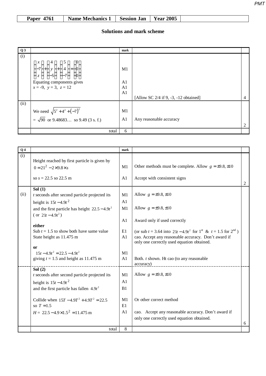| Paper 4761<br>Session Jan<br><b>Name Mechanics 1</b> | <b>Year 2005</b> |
|------------------------------------------------------|------------------|
|------------------------------------------------------|------------------|

| Q3   |                                                                                                                                                                                                                                   | mark                                               |                                         |  |
|------|-----------------------------------------------------------------------------------------------------------------------------------------------------------------------------------------------------------------------------------|----------------------------------------------------|-----------------------------------------|--|
| (i)  | $\begin{pmatrix} 1 & -7 \\ -7 & +1 \\ -5 & -7 \end{pmatrix}$ + $\begin{pmatrix} 5 \\ 4 \\ -7 & -7 \end{pmatrix}$ = $\begin{pmatrix} 0 \\ 0 \\ 0 \\ 0 \end{pmatrix}$<br>Equating components gives<br>$x = -9$ , $y = 3$ , $z = 12$ | M <sub>1</sub><br>A <sub>1</sub><br>A <sub>1</sub> |                                         |  |
|      |                                                                                                                                                                                                                                   | A <sub>1</sub>                                     | [Allow SC $2/4$ if 9, -3, -12 obtained] |  |
| (ii) |                                                                                                                                                                                                                                   |                                                    |                                         |  |
|      | We need $\sqrt{5^2 + 4^2 + (-7)^2}$                                                                                                                                                                                               | M1                                                 |                                         |  |
|      | = $\sqrt{90}$ or 9.48683 so 9.49 (3 s. f.)                                                                                                                                                                                        | A <sub>1</sub>                                     | Any reasonable accuracy                 |  |
|      | total                                                                                                                                                                                                                             | 6                                                  |                                         |  |

| Q <sub>4</sub> |                                                   | mark    |                                                                                |   |
|----------------|---------------------------------------------------|---------|--------------------------------------------------------------------------------|---|
| (i)            | Height reached by first particle is given by      |         |                                                                                |   |
|                | $0 = 21^2 - 2 \times 9.8 \times s$                | M1      | Other methods must be complete. Allow $g = \pm 9.8, \pm 10$                    |   |
|                |                                                   |         |                                                                                |   |
|                | so $s = 22.5$ so 22.5 m                           | A1      | Accept with consistent signs                                                   | 2 |
|                | Sol $(1)$                                         |         |                                                                                |   |
| (ii)           | $t$ seconds after second particle projected its   | M1      | Allow $g = \pm 9.8, \pm 10$                                                    |   |
|                | height is $15t-4.9t^2$                            | A1      |                                                                                |   |
|                | and the first particle has height $22.5 - 4.9t^2$ | M1      | Allow $g = \pm 9.8, \pm 10$                                                    |   |
|                | (or $21t - 4.9t^2$ )                              | A1      |                                                                                |   |
|                | either                                            |         | Award only if used correctly                                                   |   |
|                | Sub $t = 1.5$ to show both have same value        | E1      | (or sub $t = 3.64$ into $21t - 4.9t^2$ for $1^{st}$ & $t = 1.5$ for $2^{nd}$ ) |   |
|                | State height as 11.475 m                          | A1      | cao. Accept any reasonable accuracy. Don't award if                            |   |
|                |                                                   |         | only one correctly used equation obtained.                                     |   |
|                | or<br>$15t-4.9t^2 = 22.5 - 4.9t^2$                | M1      |                                                                                |   |
|                | giving $t = 1.5$ and height as 11.475 m           | A1      | Both. t shown. Ht cao (to any reasonable                                       |   |
|                |                                                   |         | accuracy)                                                                      |   |
|                | Sol $(2)$                                         |         |                                                                                |   |
|                | $t$ seconds after second particle projected its   | M1      | Allow $g = \pm 9.8, \pm 10$                                                    |   |
|                | height is $15t-4.9t^2$                            | A1      |                                                                                |   |
|                | and the first particle has fallen $4.9t^2$        | B1      |                                                                                |   |
|                | Collide when $15T - 4.9T^2 + 4.9T^2 = 22.5$       | M1      | Or other correct method                                                        |   |
|                | so $T = 1.5$                                      | E1      |                                                                                |   |
|                | $H = 22.5 - 4.9 \times 1.5^{2} = 11.475$ m        | A1      | cao. Accept any reasonable accuracy. Don't award if                            |   |
|                |                                                   |         | only one correctly used equation obtained.                                     |   |
|                | total                                             | $\,8\,$ |                                                                                | 6 |
|                |                                                   |         |                                                                                |   |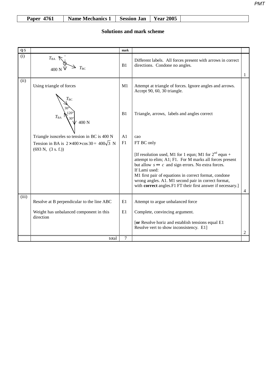| Name Mechanics 1   Session Jan   Year 2005<br>Paper 4761 |
|----------------------------------------------------------|
|----------------------------------------------------------|

| Q <sub>5</sub> |                                                                                                         | mark           |                                                                                                                                                                                                                                                                                                                                                                                             |                |
|----------------|---------------------------------------------------------------------------------------------------------|----------------|---------------------------------------------------------------------------------------------------------------------------------------------------------------------------------------------------------------------------------------------------------------------------------------------------------------------------------------------------------------------------------------------|----------------|
| (i)            | $T_{BA}$                                                                                                | B1             | Different labels. All forces present with arrows in correct<br>directions. Condone no angles.                                                                                                                                                                                                                                                                                               | 1              |
| (ii)           | Using triangle of forces<br>$T_{\rm BC}$                                                                | M1             | Attempt at triangle of forces. Ignore angles and arrows.<br>Accept 90, 60, 30 triangle.                                                                                                                                                                                                                                                                                                     |                |
|                | $T_{\text{BA}}$ $\left\{\begin{matrix} 120^{\circ} \\ 30^{\circ} \\ 400 \text{ N} \end{matrix}\right\}$ | B1             | Triangle, arrows, labels and angles correct                                                                                                                                                                                                                                                                                                                                                 |                |
|                | Triangle isosceles so tension in BC is 400 N                                                            | A <sub>1</sub> | cao                                                                                                                                                                                                                                                                                                                                                                                         |                |
|                | Tension in BA is $2 \times 400 \times \cos 30 = 400\sqrt{3}$ N                                          | F1             | FT BC only                                                                                                                                                                                                                                                                                                                                                                                  |                |
|                | $(693 \text{ N}, (3 \text{ s. f.}))$                                                                    |                | [If resolution used, M1 for 1 equn; M1 for $2^{nd}$ equn +<br>attempt to elim; A1; F1. For M marks all forces present<br>but allow $s \leftrightarrow c$ and sign errors. No extra forces.<br>If Lami used:<br>M1 first pair of equations in correct format, condone<br>wrong angles. A1. M1 second pair in correct format,<br>with correct angles. F1 FT their first answer if necessary.] | $\overline{4}$ |
| (iii)          | Resolve at B perpendicular to the line ABC                                                              | E1             | Attempt to argue unbalanced force                                                                                                                                                                                                                                                                                                                                                           |                |
|                | Weight has unbalanced component in this<br>direction                                                    | E1             | Complete, convincing argument.<br>[or Resolve horiz and establish tensions equal E1<br>Resolve vert to show inconsistency. E1]                                                                                                                                                                                                                                                              | 2              |
|                | total                                                                                                   | 7              |                                                                                                                                                                                                                                                                                                                                                                                             |                |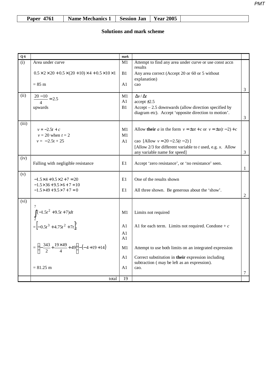| Name Mechanics 1   Session Jan   Year 2005<br><b>Paper 4761</b> |
|-----------------------------------------------------------------|
|-----------------------------------------------------------------|

| Q6                      |                                                                                   | mark |                                                                                                               |                |
|-------------------------|-----------------------------------------------------------------------------------|------|---------------------------------------------------------------------------------------------------------------|----------------|
| $\overline{(\text{i})}$ | Area under curve                                                                  | M1   | Attempt to find any area under curve or use const accn                                                        |                |
|                         | $0.5 \times 2 \times 20 + 0.5 \times (20 + 10) \times 4 + 0.5 \times 10 \times 1$ | B1   | results<br>Any area correct (Accept 20 or 60 or 5 without                                                     |                |
|                         |                                                                                   |      | explanation)                                                                                                  |                |
|                         | $= 85$ m                                                                          | A1   | cao                                                                                                           |                |
|                         |                                                                                   |      |                                                                                                               | 3              |
| (ii)                    | $\frac{20-10}{4} = 2.5$                                                           | M1   | $\Delta v / \Delta t$                                                                                         |                |
|                         |                                                                                   | A1   | $accept \pm 2.5$                                                                                              |                |
|                         | upwards                                                                           | B1   | Accept $-2.5$ downwards (allow direction specified by<br>diagram etc). Accept 'opposite direction to motion'. |                |
|                         |                                                                                   |      |                                                                                                               | 3              |
| (iii)                   |                                                                                   |      |                                                                                                               |                |
|                         | $v = -2.5t + c$                                                                   | M1   | Allow their <i>a</i> in the form $v = \pm at + c$ or $v = \pm a(t-2) + c$                                     |                |
|                         | $v = 20$ when $t = 2$<br>$v = -2.5t + 25$                                         | M1   |                                                                                                               |                |
|                         |                                                                                   | A1   | cao [Allow $v = 20 - 2.5(t - 2)$ ]<br>[Allow $2/3$ for different variable to t used, e.g. x. Allow            |                |
|                         |                                                                                   |      | any variable name for speed]                                                                                  | $\overline{3}$ |
| (iv)                    |                                                                                   |      |                                                                                                               |                |
|                         | Falling with negligible resistance                                                | E1   | Accept 'zero resistance', or 'no resistance' seen.                                                            |                |
| (v)                     |                                                                                   |      |                                                                                                               | 1              |
|                         | $-1.5 \times 4 + 9.5 \times 2 + 7 = 20$                                           | E1   | One of the results shown                                                                                      |                |
|                         | $-1.5 \times 36 + 9.5 \times 6 + 7 = 10$                                          |      |                                                                                                               |                |
|                         | $-1.5 \times 49 + 9.5 \times 7 + 7 = 0$                                           | E1   | All three shown. Be generous about the 'show'.                                                                |                |
| (vi)                    |                                                                                   |      |                                                                                                               | 2              |
|                         |                                                                                   |      |                                                                                                               |                |
|                         |                                                                                   | M1   | Limits not required                                                                                           |                |
|                         |                                                                                   |      |                                                                                                               |                |
|                         | $\int_{2}^{1}(-1.5t^{2}+9.5t+7)dt$<br>= $[-0.5t^{3}+4.75t^{2}+7t]_{2}^{7}$        | A1   | A1 for each term. Limits not required. Condone + $c$                                                          |                |
|                         |                                                                                   | A1   |                                                                                                               |                |
|                         |                                                                                   | A1   |                                                                                                               |                |
|                         | $=\left(-\frac{343}{2}+\frac{19\times49}{4}+49\right)-\left(-4+19+14\right)$      | M1   | Attempt to use both limits on an integrated expression                                                        |                |
|                         |                                                                                   | A1   | Correct substitution in their expression including                                                            |                |
|                         |                                                                                   |      | subtraction (may be left as an expression).                                                                   |                |
|                         | $= 81.25$ m                                                                       | A1   | cao.                                                                                                          |                |
|                         | total                                                                             | 19   |                                                                                                               | 7              |
|                         |                                                                                   |      |                                                                                                               |                |